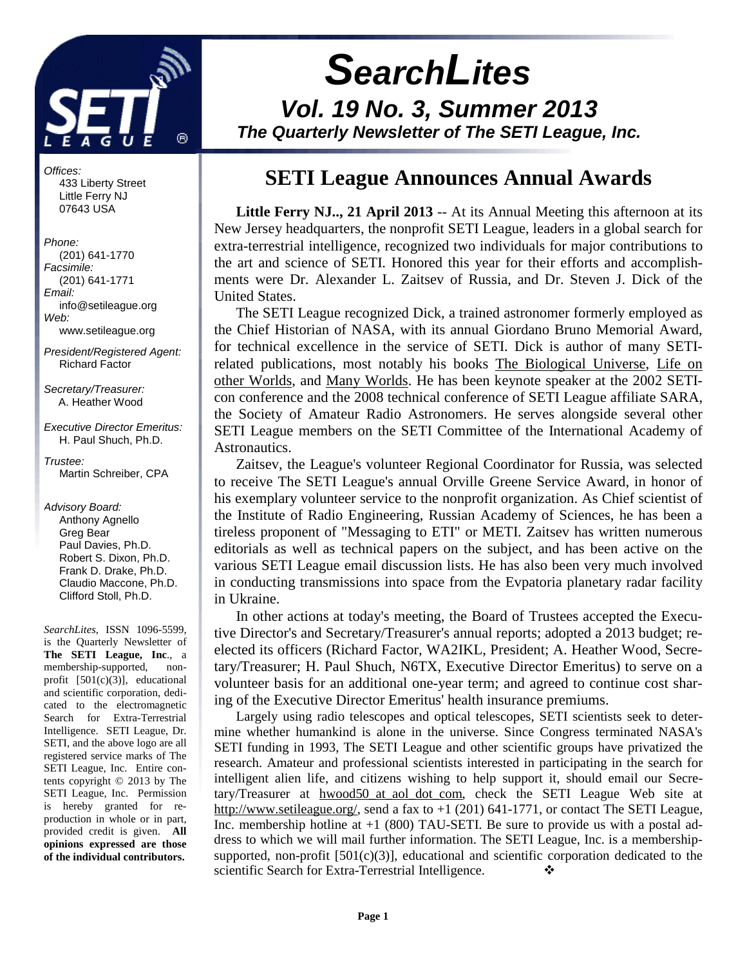

Offices: 433 Liberty Street Little Ferry NJ 07643 USA

Phone: (201) 641-1770 Facsimile: (201) 641-1771 Email: info@setileague.org Web: www.setileague.org

President/Registered Agent: Richard Factor

Secretary/Treasurer: A. Heather Wood

Executive Director Emeritus: H. Paul Shuch, Ph.D.

Trustee: Martin Schreiber, CPA

Advisory Board: Anthony Agnello Greg Bear Paul Davies, Ph.D. Robert S. Dixon, Ph.D. Frank D. Drake, Ph.D. Claudio Maccone, Ph.D. Clifford Stoll, Ph.D.

*SearchLites*, ISSN 1096-5599, is the Quarterly Newsletter of **The SETI League, Inc**., a membership-supported, nonprofit [501(c)(3)], educational and scientific corporation, dedicated to the electromagnetic Search for Extra-Terrestrial Intelligence. SETI League, Dr. SETI, and the above logo are all registered service marks of The SETI League, Inc. Entire contents copyright © 2013 by The SETI League, Inc. Permission is hereby granted for reproduction in whole or in part, provided credit is given. **All opinions expressed are those of the individual contributors.** 

# **SearchLites**

**Vol. 19 No. 3, Summer 2013 The Quarterly Newsletter of The SETI League, Inc.** 

# **SETI League Announces Annual Awards**

**Little Ferry NJ.., 21 April 2013** -- At its Annual Meeting this afternoon at its New Jersey headquarters, the nonprofit SETI League, leaders in a global search for extra-terrestrial intelligence, recognized two individuals for major contributions to the art and science of SETI. Honored this year for their efforts and accomplishments were Dr. Alexander L. Zaitsev of Russia, and Dr. Steven J. Dick of the United States.

The SETI League recognized Dick, a trained astronomer formerly employed as the Chief Historian of NASA, with its annual Giordano Bruno Memorial Award, for technical excellence in the service of SETI. Dick is author of many SETIrelated publications, most notably his books The Biological Universe, Life on other Worlds, and Many Worlds. He has been keynote speaker at the 2002 SETIcon conference and the 2008 technical conference of SETI League affiliate SARA, the Society of Amateur Radio Astronomers. He serves alongside several other SETI League members on the SETI Committee of the International Academy of Astronautics.

Zaitsev, the League's volunteer Regional Coordinator for Russia, was selected to receive The SETI League's annual Orville Greene Service Award, in honor of his exemplary volunteer service to the nonprofit organization. As Chief scientist of the Institute of Radio Engineering, Russian Academy of Sciences, he has been a tireless proponent of "Messaging to ETI" or METI. Zaitsev has written numerous editorials as well as technical papers on the subject, and has been active on the various SETI League email discussion lists. He has also been very much involved in conducting transmissions into space from the Evpatoria planetary radar facility in Ukraine.

In other actions at today's meeting, the Board of Trustees accepted the Executive Director's and Secretary/Treasurer's annual reports; adopted a 2013 budget; reelected its officers (Richard Factor, WA2IKL, President; A. Heather Wood, Secretary/Treasurer; H. Paul Shuch, N6TX, Executive Director Emeritus) to serve on a volunteer basis for an additional one-year term; and agreed to continue cost sharing of the Executive Director Emeritus' health insurance premiums.

Largely using radio telescopes and optical telescopes, SETI scientists seek to determine whether humankind is alone in the universe. Since Congress terminated NASA's SETI funding in 1993, The SETI League and other scientific groups have privatized the research. Amateur and professional scientists interested in participating in the search for intelligent alien life, and citizens wishing to help support it, should email our Secretary/Treasurer at hwood50 at aol dot com, check the SETI League Web site at http://www.setileague.org/, send a fax to +1 (201) 641-1771, or contact The SETI League, Inc. membership hotline at  $+1$  (800) TAU-SETI. Be sure to provide us with a postal address to which we will mail further information. The SETI League, Inc. is a membershipsupported, non-profit  $[501(c)(3)]$ , educational and scientific corporation dedicated to the scientific Search for Extra-Terrestrial Intelligence.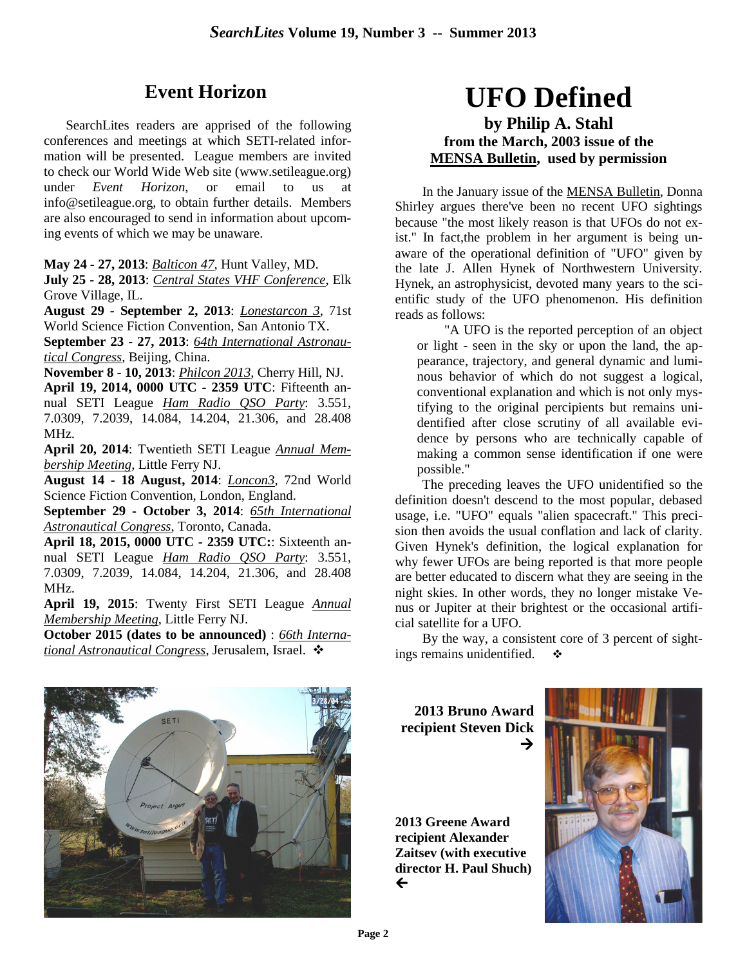# **Event Horizon**

SearchLites readers are apprised of the following conferences and meetings at which SETI-related information will be presented. League members are invited to check our World Wide Web site (www.setileague.org) under *Event Horizon*, or email to us at info@setileague.org, to obtain further details. Members are also encouraged to send in information about upcoming events of which we may be unaware.

**May 24 - 27, 2013**: *Balticon 47*, Hunt Valley, MD.

**July 25 - 28, 2013**: *Central States VHF Conference*, Elk Grove Village, IL.

**August 29 - September 2, 2013**: *Lonestarcon 3*, 71st World Science Fiction Convention, San Antonio TX.

**September 23 - 27, 2013**: *64th International Astronautical Congress*, Beijing, China.

**November 8 - 10, 2013**: *Philcon 2013*, Cherry Hill, NJ. **April 19, 2014, 0000 UTC - 2359 UTC**: Fifteenth an-

nual SETI League *Ham Radio QSO Party*: 3.551, 7.0309, 7.2039, 14.084, 14.204, 21.306, and 28.408 MHz.

**April 20, 2014**: Twentieth SETI League *Annual Membership Meeting*, Little Ferry NJ.

**August 14 - 18 August, 2014**: *Loncon3*, 72nd World Science Fiction Convention, London, England.

**September 29 - October 3, 2014**: *65th International Astronautical Congress*, Toronto, Canada.

**April 18, 2015, 0000 UTC - 2359 UTC:**: Sixteenth annual SETI League *Ham Radio QSO Party*: 3.551, 7.0309, 7.2039, 14.084, 14.204, 21.306, and 28.408 MHz.

**April 19, 2015**: Twenty First SETI League *Annual Membership Meeting*, Little Ferry NJ.

**October 2015 (dates to be announced)** : *66th International Astronautical Congress*, Jerusalem, Israel. -

# **UFO Defined by Philip A. Stahl from the March, 2003 issue of the MENSA Bulletin, used by permission**

In the January issue of the **MENSA Bulletin**, Donna Shirley argues there've been no recent UFO sightings because "the most likely reason is that UFOs do not exist." In fact,the problem in her argument is being unaware of the operational definition of "UFO" given by the late J. Allen Hynek of Northwestern University. Hynek, an astrophysicist, devoted many years to the scientific study of the UFO phenomenon. His definition reads as follows:

"A UFO is the reported perception of an object or light - seen in the sky or upon the land, the appearance, trajectory, and general dynamic and luminous behavior of which do not suggest a logical, conventional explanation and which is not only mystifying to the original percipients but remains unidentified after close scrutiny of all available evidence by persons who are technically capable of making a common sense identification if one were possible."

The preceding leaves the UFO unidentified so the definition doesn't descend to the most popular, debased usage, i.e. "UFO" equals "alien spacecraft." This precision then avoids the usual conflation and lack of clarity. Given Hynek's definition, the logical explanation for why fewer UFOs are being reported is that more people are better educated to discern what they are seeing in the night skies. In other words, they no longer mistake Venus or Jupiter at their brightest or the occasional artificial satellite for a UFO.

By the way, a consistent core of 3 percent of sightings remains unidentified.  $\bullet$ 



**2013 Bruno Award recipient Steven Dick**  →

**2013 Greene Award recipient Alexander Zaitsev (with executive director H. Paul Shuch)**   $\leftarrow$ 

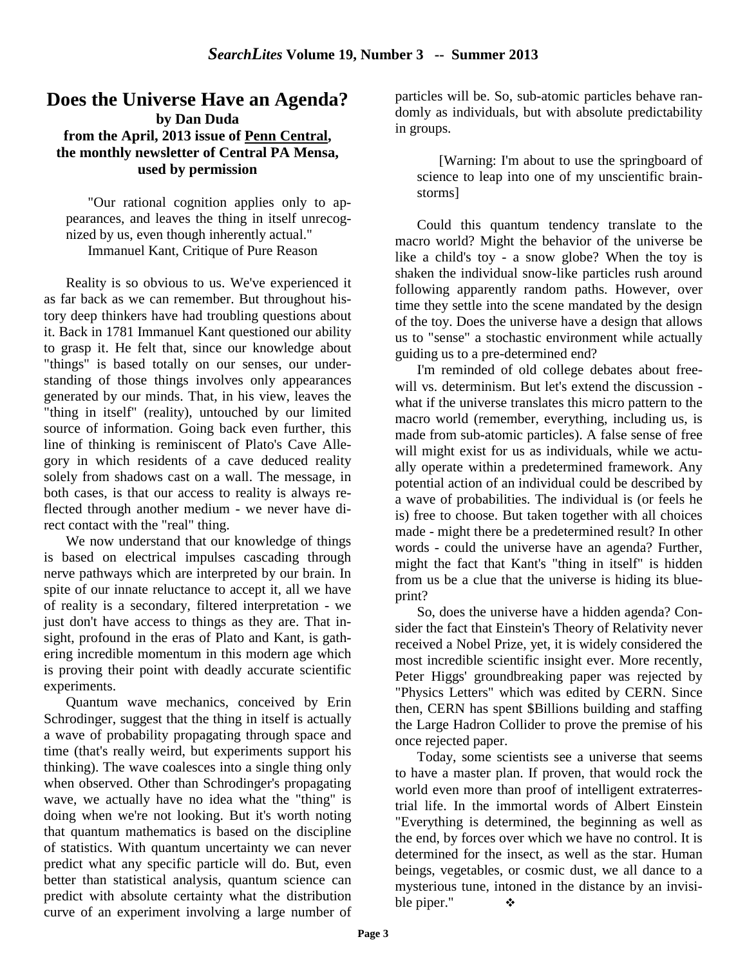#### **Does the Universe Have an Agenda? by Dan Duda from the April, 2013 issue of Penn Central, the monthly newsletter of Central PA Mensa, used by permission**

"Our rational cognition applies only to appearances, and leaves the thing in itself unrecognized by us, even though inherently actual." Immanuel Kant, Critique of Pure Reason

Reality is so obvious to us. We've experienced it as far back as we can remember. But throughout history deep thinkers have had troubling questions about it. Back in 1781 Immanuel Kant questioned our ability to grasp it. He felt that, since our knowledge about "things" is based totally on our senses, our understanding of those things involves only appearances generated by our minds. That, in his view, leaves the "thing in itself" (reality), untouched by our limited source of information. Going back even further, this line of thinking is reminiscent of Plato's Cave Allegory in which residents of a cave deduced reality solely from shadows cast on a wall. The message, in both cases, is that our access to reality is always reflected through another medium - we never have direct contact with the "real" thing.

We now understand that our knowledge of things is based on electrical impulses cascading through nerve pathways which are interpreted by our brain. In spite of our innate reluctance to accept it, all we have of reality is a secondary, filtered interpretation - we just don't have access to things as they are. That insight, profound in the eras of Plato and Kant, is gathering incredible momentum in this modern age which is proving their point with deadly accurate scientific experiments.

Quantum wave mechanics, conceived by Erin Schrodinger, suggest that the thing in itself is actually a wave of probability propagating through space and time (that's really weird, but experiments support his thinking). The wave coalesces into a single thing only when observed. Other than Schrodinger's propagating wave, we actually have no idea what the "thing" is doing when we're not looking. But it's worth noting that quantum mathematics is based on the discipline of statistics. With quantum uncertainty we can never predict what any specific particle will do. But, even better than statistical analysis, quantum science can predict with absolute certainty what the distribution curve of an experiment involving a large number of

particles will be. So, sub-atomic particles behave randomly as individuals, but with absolute predictability in groups.

[Warning: I'm about to use the springboard of science to leap into one of my unscientific brainstorms]

Could this quantum tendency translate to the macro world? Might the behavior of the universe be like a child's toy - a snow globe? When the toy is shaken the individual snow-like particles rush around following apparently random paths. However, over time they settle into the scene mandated by the design of the toy. Does the universe have a design that allows us to "sense" a stochastic environment while actually guiding us to a pre-determined end?

I'm reminded of old college debates about freewill vs. determinism. But let's extend the discussion what if the universe translates this micro pattern to the macro world (remember, everything, including us, is made from sub-atomic particles). A false sense of free will might exist for us as individuals, while we actually operate within a predetermined framework. Any potential action of an individual could be described by a wave of probabilities. The individual is (or feels he is) free to choose. But taken together with all choices made - might there be a predetermined result? In other words - could the universe have an agenda? Further, might the fact that Kant's "thing in itself" is hidden from us be a clue that the universe is hiding its blueprint?

So, does the universe have a hidden agenda? Consider the fact that Einstein's Theory of Relativity never received a Nobel Prize, yet, it is widely considered the most incredible scientific insight ever. More recently, Peter Higgs' groundbreaking paper was rejected by "Physics Letters" which was edited by CERN. Since then, CERN has spent \$Billions building and staffing the Large Hadron Collider to prove the premise of his once rejected paper.

Today, some scientists see a universe that seems to have a master plan. If proven, that would rock the world even more than proof of intelligent extraterrestrial life. In the immortal words of Albert Einstein "Everything is determined, the beginning as well as the end, by forces over which we have no control. It is determined for the insect, as well as the star. Human beings, vegetables, or cosmic dust, we all dance to a mysterious tune, intoned in the distance by an invisible piper."  $\bullet$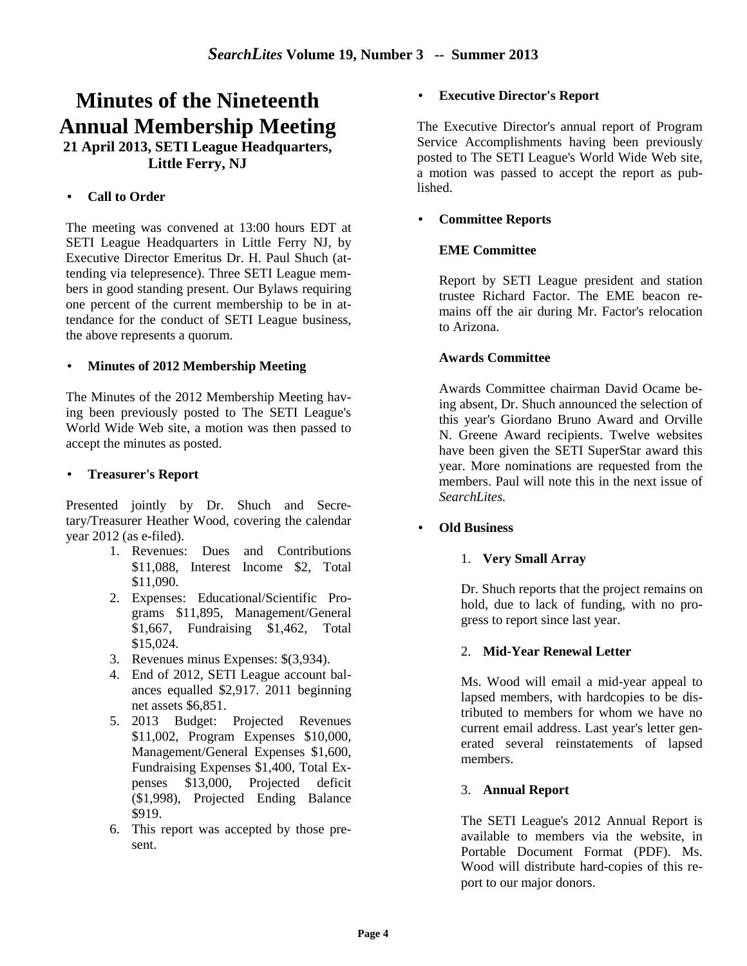# **Minutes of the Nineteenth Annual Membership Meeting 21 April 2013, SETI League Headquarters, Little Ferry, NJ**

#### • **Call to Order**

The meeting was convened at 13:00 hours EDT at SETI League Headquarters in Little Ferry NJ, by Executive Director Emeritus Dr. H. Paul Shuch (attending via telepresence). Three SETI League members in good standing present. Our Bylaws requiring one percent of the current membership to be in attendance for the conduct of SETI League business, the above represents a quorum.

#### • **Minutes of 2012 Membership Meeting**

The Minutes of the 2012 Membership Meeting having been previously posted to The SETI League's World Wide Web site, a motion was then passed to accept the minutes as posted.

#### • **Treasurer's Report**

Presented jointly by Dr. Shuch and Secretary/Treasurer Heather Wood, covering the calendar year 2012 (as e-filed).

- 1. Revenues: Dues and Contributions \$11,088, Interest Income \$2, Total \$11,090.
- 2. Expenses: Educational/Scientific Programs \$11,895, Management/General \$1,667, Fundraising \$1,462, Total \$15,024.
- 3. Revenues minus Expenses: \$(3,934).
- 4. End of 2012, SETI League account balances equalled \$2,917. 2011 beginning net assets \$6,851.
- 5. 2013 Budget: Projected Revenues \$11,002, Program Expenses \$10,000, Management/General Expenses \$1,600, Fundraising Expenses \$1,400, Total Expenses \$13,000, Projected deficit (\$1,998), Projected Ending Balance \$919.
- 6. This report was accepted by those present.

#### • **Executive Director's Report**

The Executive Director's annual report of Program Service Accomplishments having been previously posted to The SETI League's World Wide Web site, a motion was passed to accept the report as published.

#### • **Committee Reports**

#### **EME Committee**

Report by SETI League president and station trustee Richard Factor. The EME beacon remains off the air during Mr. Factor's relocation to Arizona.

#### **Awards Committee**

Awards Committee chairman David Ocame being absent, Dr. Shuch announced the selection of this year's Giordano Bruno Award and Orville N. Greene Award recipients. Twelve websites have been given the SETI SuperStar award this year. More nominations are requested from the members. Paul will note this in the next issue of *SearchLites.*

#### • **Old Business**

#### 1. **Very Small Array**

Dr. Shuch reports that the project remains on hold, due to lack of funding, with no progress to report since last year.

#### 2. **Mid-Year Renewal Letter**

Ms. Wood will email a mid-year appeal to lapsed members, with hardcopies to be distributed to members for whom we have no current email address. Last year's letter generated several reinstatements of lapsed members.

#### 3. **Annual Report**

The SETI League's 2012 Annual Report is available to members via the website, in Portable Document Format (PDF). Ms. Wood will distribute hard-copies of this report to our major donors.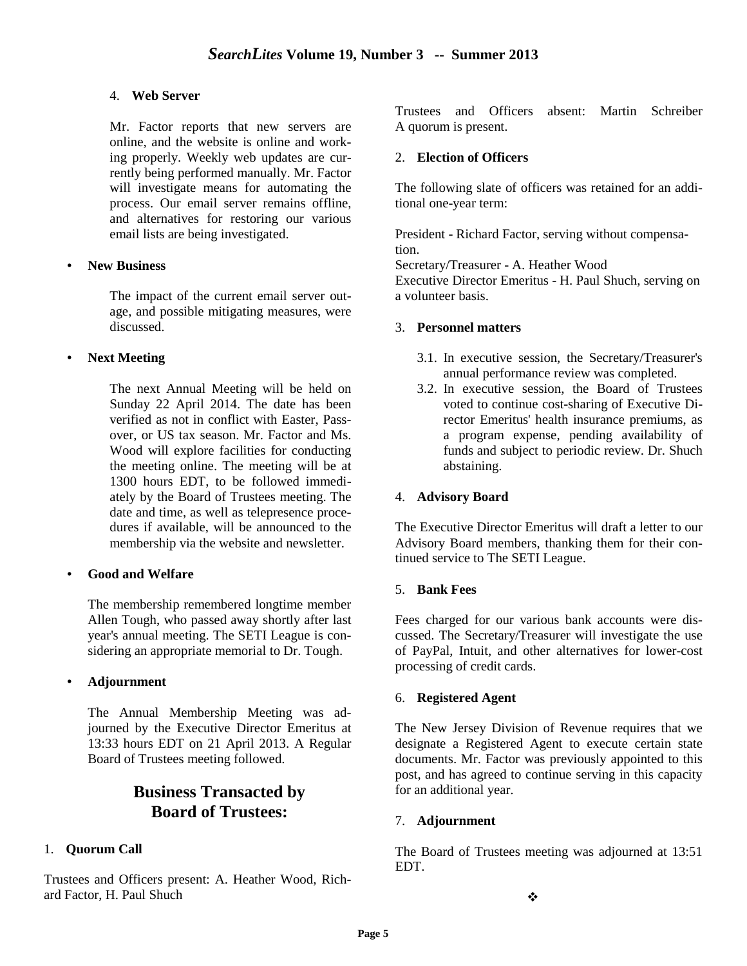#### 4. **Web Server**

Mr. Factor reports that new servers are online, and the website is online and working properly. Weekly web updates are currently being performed manually. Mr. Factor will investigate means for automating the process. Our email server remains offline, and alternatives for restoring our various email lists are being investigated.

#### • **New Business**

The impact of the current email server outage, and possible mitigating measures, were discussed.

#### • **Next Meeting**

The next Annual Meeting will be held on Sunday 22 April 2014. The date has been verified as not in conflict with Easter, Passover, or US tax season. Mr. Factor and Ms. Wood will explore facilities for conducting the meeting online. The meeting will be at 1300 hours EDT, to be followed immediately by the Board of Trustees meeting. The date and time, as well as telepresence procedures if available, will be announced to the membership via the website and newsletter.

#### • **Good and Welfare**

The membership remembered longtime member Allen Tough, who passed away shortly after last year's annual meeting. The SETI League is considering an appropriate memorial to Dr. Tough.

#### • **Adjournment**

The Annual Membership Meeting was adjourned by the Executive Director Emeritus at 13:33 hours EDT on 21 April 2013. A Regular Board of Trustees meeting followed.

## **Business Transacted by Board of Trustees:**

#### 1. **Quorum Call**

Trustees and Officers present: A. Heather Wood, Richard Factor, H. Paul Shuch

Trustees and Officers absent: Martin Schreiber A quorum is present.

#### 2. **Election of Officers**

The following slate of officers was retained for an additional one-year term:

President - Richard Factor, serving without compensation.

Secretary/Treasurer - A. Heather Wood

Executive Director Emeritus - H. Paul Shuch, serving on a volunteer basis.

#### 3. **Personnel matters**

- 3.1. In executive session, the Secretary/Treasurer's annual performance review was completed.
- 3.2. In executive session, the Board of Trustees voted to continue cost-sharing of Executive Director Emeritus' health insurance premiums, as a program expense, pending availability of funds and subject to periodic review. Dr. Shuch abstaining.

#### 4. **Advisory Board**

The Executive Director Emeritus will draft a letter to our Advisory Board members, thanking them for their continued service to The SETI League.

#### 5. **Bank Fees**

Fees charged for our various bank accounts were discussed. The Secretary/Treasurer will investigate the use of PayPal, Intuit, and other alternatives for lower-cost processing of credit cards.

#### 6. **Registered Agent**

The New Jersey Division of Revenue requires that we designate a Registered Agent to execute certain state documents. Mr. Factor was previously appointed to this post, and has agreed to continue serving in this capacity for an additional year.

#### 7. **Adjournment**

The Board of Trustees meeting was adjourned at 13:51 EDT.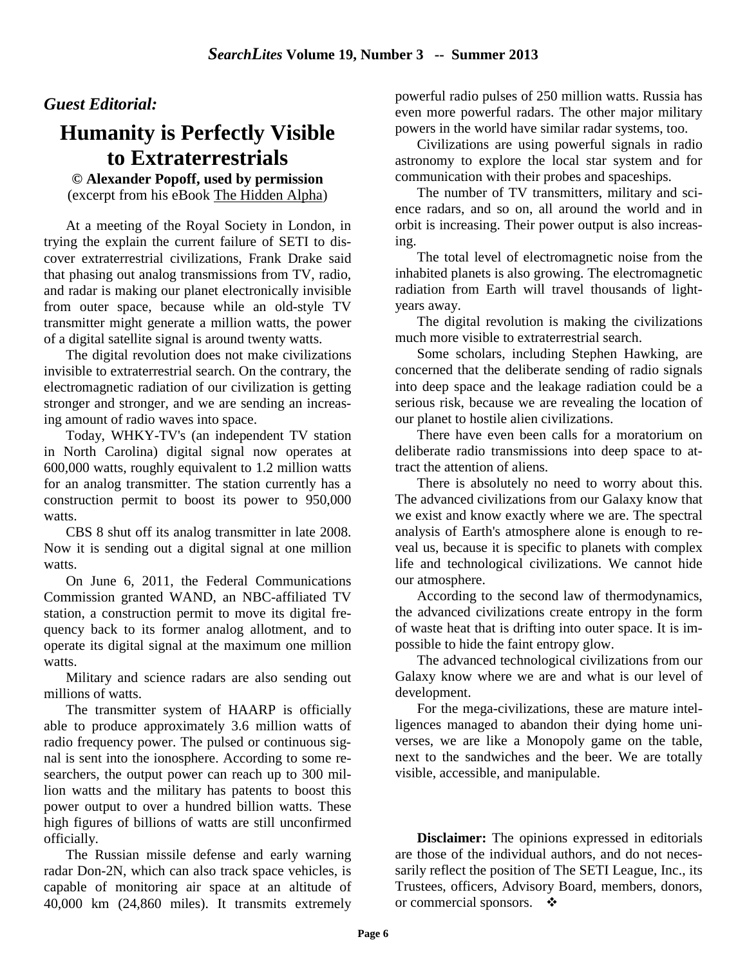### *Guest Editorial:*

# **Humanity is Perfectly Visible to Extraterrestrials**

**© Alexander Popoff, used by permission** (excerpt from his eBook The Hidden Alpha)

At a meeting of the Royal Society in London, in trying the explain the current failure of SETI to discover extraterrestrial civilizations, Frank Drake said that phasing out analog transmissions from TV, radio, and radar is making our planet electronically invisible from outer space, because while an old-style TV transmitter might generate a million watts, the power of a digital satellite signal is around twenty watts.

The digital revolution does not make civilizations invisible to extraterrestrial search. On the contrary, the electromagnetic radiation of our civilization is getting stronger and stronger, and we are sending an increasing amount of radio waves into space.

Today, WHKY-TV's (an independent TV station in North Carolina) digital signal now operates at 600,000 watts, roughly equivalent to 1.2 million watts for an analog transmitter. The station currently has a construction permit to boost its power to 950,000 watts.

CBS 8 shut off its analog transmitter in late 2008. Now it is sending out a digital signal at one million watts.

On June 6, 2011, the Federal Communications Commission granted WAND, an NBC-affiliated TV station, a construction permit to move its digital frequency back to its former analog allotment, and to operate its digital signal at the maximum one million watts.

Military and science radars are also sending out millions of watts.

The transmitter system of HAARP is officially able to produce approximately 3.6 million watts of radio frequency power. The pulsed or continuous signal is sent into the ionosphere. According to some researchers, the output power can reach up to 300 million watts and the military has patents to boost this power output to over a hundred billion watts. These high figures of billions of watts are still unconfirmed officially.

The Russian missile defense and early warning radar Don-2N, which can also track space vehicles, is capable of monitoring air space at an altitude of 40,000 km (24,860 miles). It transmits extremely powerful radio pulses of 250 million watts. Russia has even more powerful radars. The other major military powers in the world have similar radar systems, too.

Civilizations are using powerful signals in radio astronomy to explore the local star system and for communication with their probes and spaceships.

The number of TV transmitters, military and science radars, and so on, all around the world and in orbit is increasing. Their power output is also increasing.

The total level of electromagnetic noise from the inhabited planets is also growing. The electromagnetic radiation from Earth will travel thousands of lightyears away.

The digital revolution is making the civilizations much more visible to extraterrestrial search.

Some scholars, including Stephen Hawking, are concerned that the deliberate sending of radio signals into deep space and the leakage radiation could be a serious risk, because we are revealing the location of our planet to hostile alien civilizations.

There have even been calls for a moratorium on deliberate radio transmissions into deep space to attract the attention of aliens.

There is absolutely no need to worry about this. The advanced civilizations from our Galaxy know that we exist and know exactly where we are. The spectral analysis of Earth's atmosphere alone is enough to reveal us, because it is specific to planets with complex life and technological civilizations. We cannot hide our atmosphere.

According to the second law of thermodynamics, the advanced civilizations create entropy in the form of waste heat that is drifting into outer space. It is impossible to hide the faint entropy glow.

The advanced technological civilizations from our Galaxy know where we are and what is our level of development.

For the mega-civilizations, these are mature intelligences managed to abandon their dying home universes, we are like a Monopoly game on the table, next to the sandwiches and the beer. We are totally visible, accessible, and manipulable.

**Disclaimer:** The opinions expressed in editorials are those of the individual authors, and do not necessarily reflect the position of The SETI League, Inc., its Trustees, officers, Advisory Board, members, donors, or commercial sponsors.  $\cdot$